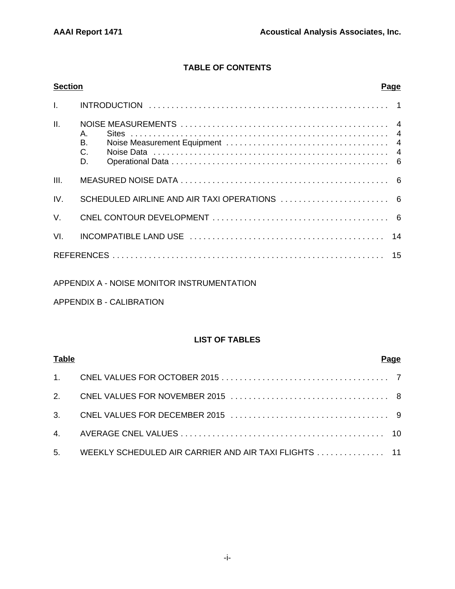## **TABLE OF CONTENTS**

| <b>Section</b>  | <b>Page</b>          |  |
|-----------------|----------------------|--|
|                 |                      |  |
| $\mathbf{II}$ . | Α.<br>B.<br>C.<br>D. |  |
| III.            |                      |  |
| IV.             |                      |  |
| $V_{\cdot}$     |                      |  |
| VI.             |                      |  |
|                 |                      |  |

## APPENDIX A - NOISE MONITOR INSTRUMENTATION

## APPENDIX B - CALIBRATION

## **LIST OF TABLES**

| <b>Table</b> |                                                          | Pa <u>qe</u> |
|--------------|----------------------------------------------------------|--------------|
|              |                                                          |              |
|              |                                                          |              |
|              |                                                          |              |
|              |                                                          |              |
|              | 5. WEEKLY SCHEDULED AIR CARRIER AND AIR TAXI FLIGHTS  11 |              |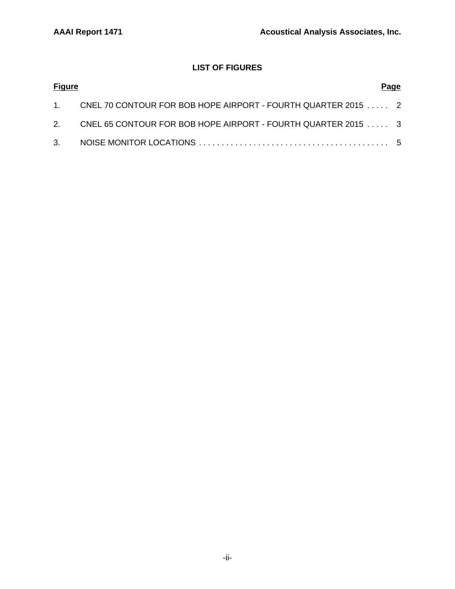## **LIST OF FIGURES**

| <b>Figure</b> |                                                                  | Page |
|---------------|------------------------------------------------------------------|------|
|               | 1. CNEL 70 CONTOUR FOR BOB HOPE AIRPORT - FOURTH QUARTER 2015  2 |      |
|               | 2. CNEL 65 CONTOUR FOR BOB HOPE AIRPORT - FOURTH QUARTER 2015 3  |      |
|               |                                                                  |      |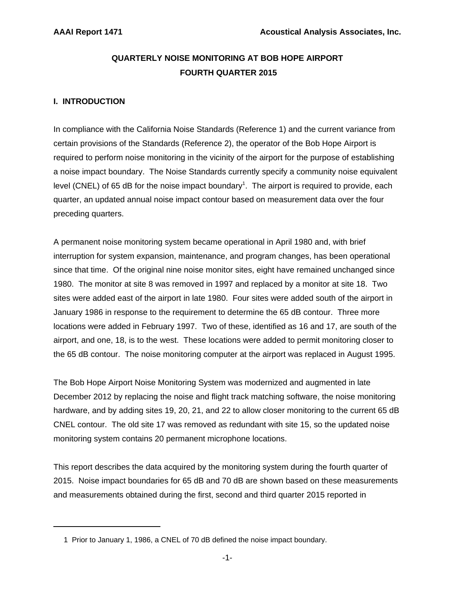## **QUARTERLY NOISE MONITORING AT BOB HOPE AIRPORT FOURTH QUARTER 2015**

## **I. INTRODUCTION**

In compliance with the California Noise Standards (Reference 1) and the current variance from certain provisions of the Standards (Reference 2), the operator of the Bob Hope Airport is required to perform noise monitoring in the vicinity of the airport for the purpose of establishing a noise impact boundary. The Noise Standards currently specify a community noise equivalent level (CNEL) of 65 dB for the noise impact boundary<sup>1</sup>. The airport is required to provide, each quarter, an updated annual noise impact contour based on measurement data over the four preceding quarters.

A permanent noise monitoring system became operational in April 1980 and, with brief interruption for system expansion, maintenance, and program changes, has been operational since that time. Of the original nine noise monitor sites, eight have remained unchanged since 1980. The monitor at site 8 was removed in 1997 and replaced by a monitor at site 18. Two sites were added east of the airport in late 1980. Four sites were added south of the airport in January 1986 in response to the requirement to determine the 65 dB contour. Three more locations were added in February 1997. Two of these, identified as 16 and 17, are south of the airport, and one, 18, is to the west. These locations were added to permit monitoring closer to the 65 dB contour. The noise monitoring computer at the airport was replaced in August 1995.

The Bob Hope Airport Noise Monitoring System was modernized and augmented in late December 2012 by replacing the noise and flight track matching software, the noise monitoring hardware, and by adding sites 19, 20, 21, and 22 to allow closer monitoring to the current 65 dB CNEL contour. The old site 17 was removed as redundant with site 15, so the updated noise monitoring system contains 20 permanent microphone locations.

This report describes the data acquired by the monitoring system during the fourth quarter of 2015. Noise impact boundaries for 65 dB and 70 dB are shown based on these measurements and measurements obtained during the first, second and third quarter 2015 reported in

 <sup>1</sup> Prior to January 1, 1986, a CNEL of 70 dB defined the noise impact boundary.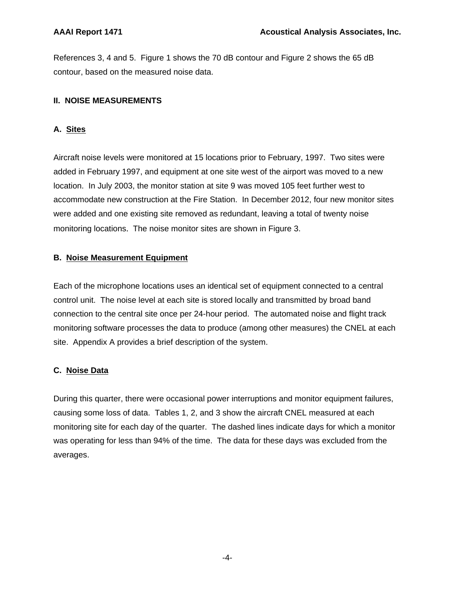References 3, 4 and 5. Figure 1 shows the 70 dB contour and Figure 2 shows the 65 dB contour, based on the measured noise data.

## **II. NOISE MEASUREMENTS**

## **A. Sites**

Aircraft noise levels were monitored at 15 locations prior to February, 1997. Two sites were added in February 1997, and equipment at one site west of the airport was moved to a new location. In July 2003, the monitor station at site 9 was moved 105 feet further west to accommodate new construction at the Fire Station. In December 2012, four new monitor sites were added and one existing site removed as redundant, leaving a total of twenty noise monitoring locations. The noise monitor sites are shown in Figure 3.

## **B. Noise Measurement Equipment**

Each of the microphone locations uses an identical set of equipment connected to a central control unit. The noise level at each site is stored locally and transmitted by broad band connection to the central site once per 24-hour period. The automated noise and flight track monitoring software processes the data to produce (among other measures) the CNEL at each site. Appendix A provides a brief description of the system.

## **C. Noise Data**

During this quarter, there were occasional power interruptions and monitor equipment failures, causing some loss of data. Tables 1, 2, and 3 show the aircraft CNEL measured at each monitoring site for each day of the quarter. The dashed lines indicate days for which a monitor was operating for less than 94% of the time. The data for these days was excluded from the averages.

-4-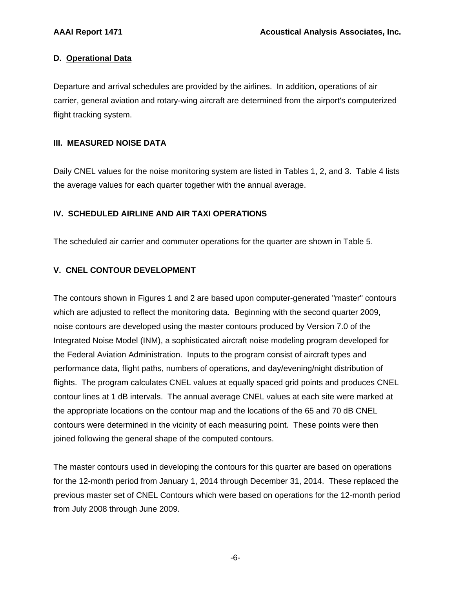## **D. Operational Data**

Departure and arrival schedules are provided by the airlines. In addition, operations of air carrier, general aviation and rotary-wing aircraft are determined from the airport's computerized flight tracking system.

## **III. MEASURED NOISE DATA**

Daily CNEL values for the noise monitoring system are listed in Tables 1, 2, and 3. Table 4 lists the average values for each quarter together with the annual average.

## **IV. SCHEDULED AIRLINE AND AIR TAXI OPERATIONS**

The scheduled air carrier and commuter operations for the quarter are shown in Table 5.

## **V. CNEL CONTOUR DEVELOPMENT**

The contours shown in Figures 1 and 2 are based upon computer-generated "master" contours which are adjusted to reflect the monitoring data. Beginning with the second quarter 2009, noise contours are developed using the master contours produced by Version 7.0 of the Integrated Noise Model (INM), a sophisticated aircraft noise modeling program developed for the Federal Aviation Administration. Inputs to the program consist of aircraft types and performance data, flight paths, numbers of operations, and day/evening/night distribution of flights. The program calculates CNEL values at equally spaced grid points and produces CNEL contour lines at 1 dB intervals. The annual average CNEL values at each site were marked at the appropriate locations on the contour map and the locations of the 65 and 70 dB CNEL contours were determined in the vicinity of each measuring point. These points were then joined following the general shape of the computed contours.

The master contours used in developing the contours for this quarter are based on operations for the 12-month period from January 1, 2014 through December 31, 2014. These replaced the previous master set of CNEL Contours which were based on operations for the 12-month period from July 2008 through June 2009.

-6-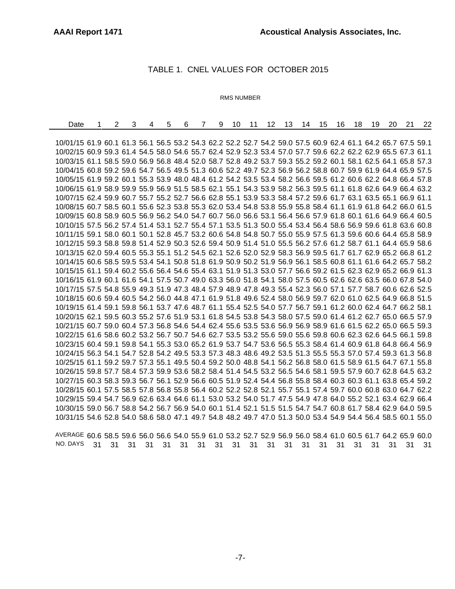### TABLE 1. CNEL VALUES FOR OCTOBER 2015

#### RMS NUMBER

| Date                                                                                                         | $\overline{2}$ | 3 | 4 | 5 | 6 | 7 | 9 | 10 | 11 | 12 <sup>12</sup> | 13 | 14 | 15 | 16 | 18 | 19 | 20 | 21 | 22 |
|--------------------------------------------------------------------------------------------------------------|----------------|---|---|---|---|---|---|----|----|------------------|----|----|----|----|----|----|----|----|----|
|                                                                                                              |                |   |   |   |   |   |   |    |    |                  |    |    |    |    |    |    |    |    |    |
| 10/01/15 61.9 60.1 61.3 56.1 56.5 53.2 54.3 62.2 52.2 52.7 54.2 59.0 57.5 60.9 62.4 61.1 64.2 65.7 67.5 59.1 |                |   |   |   |   |   |   |    |    |                  |    |    |    |    |    |    |    |    |    |
| 10/02/15 60.9 59.3 61.4 54.5 58.0 54.6 55.7 62.4 52.9 52.3 53.4 57.0 57.7 59.6 62.2 62.2 62.9 65.5 67.3 61.1 |                |   |   |   |   |   |   |    |    |                  |    |    |    |    |    |    |    |    |    |
| 10/03/15 61.1 58.5 59.0 56.9 56.8 48.4 52.0 58.7 52.8 49.2 53.7 59.3 55.2 59.2 60.1 58.1 62.5 64.1 65.8 57.3 |                |   |   |   |   |   |   |    |    |                  |    |    |    |    |    |    |    |    |    |
| 10/04/15 60.8 59.2 59.6 54.7 56.5 49.5 51.3 60.6 52.2 49.7 52.3 56.9 56.2 58.8 60.7 59.9 61.9 64.4 65.9 57.5 |                |   |   |   |   |   |   |    |    |                  |    |    |    |    |    |    |    |    |    |
| 10/05/15 61.9 59.2 60.1 55.3 53.9 48.0 48.4 61.2 54.2 53.5 53.4 58.2 56.6 59.5 61.2 60.6 62.2 64.8 66.4 57.8 |                |   |   |   |   |   |   |    |    |                  |    |    |    |    |    |    |    |    |    |
| 10/06/15 61.9 58.9 59.9 55.9 56.9 51.5 58.5 62.1 55.1 54.3 53.9 58.2 56.3 59.5 61.1 61.8 62.6 64.9 66.4 63.2 |                |   |   |   |   |   |   |    |    |                  |    |    |    |    |    |    |    |    |    |
| 10/07/15 62.4 59.9 60.7 55.7 55.2 52.7 56.6 62.8 55.1 53.9 53.3 58.4 57.2 59.6 61.7 63.1 63.5 65.1 66.9 61.1 |                |   |   |   |   |   |   |    |    |                  |    |    |    |    |    |    |    |    |    |
| 10/08/15 60.7 58.5 60.1 55.6 52.3 53.8 55.3 62.0 53.4 54.8 53.8 55.9 55.8 58.4 61.1 61.9 61.8 64.2 66.0 61.5 |                |   |   |   |   |   |   |    |    |                  |    |    |    |    |    |    |    |    |    |
| 10/09/15 60.8 58.9 60.5 56.9 56.2 54.0 54.7 60.7 56.0 56.6 53.1 56.4 56.6 57.9 61.8 60.1 61.6 64.9 66.4 60.5 |                |   |   |   |   |   |   |    |    |                  |    |    |    |    |    |    |    |    |    |
| 10/10/15 57.5 56.2 57.4 51.4 53.1 52.7 55.4 57.1 53.5 51.3 50.0 55.4 53.4 56.4 58.6 56.9 59.6 61.8 63.6 60.8 |                |   |   |   |   |   |   |    |    |                  |    |    |    |    |    |    |    |    |    |
| 10/11/15 59.1 58.0 60.1 50.1 52.8 45.7 53.2 60.6 54.8 54.8 50.7 55.0 55.9 57.5 61.3 59.6 60.6 64.4 65.8 58.9 |                |   |   |   |   |   |   |    |    |                  |    |    |    |    |    |    |    |    |    |
| 10/12/15 59.3 58.8 59.8 51.4 52.9 50.3 52.6 59.4 50.9 51.4 51.0 55.5 56.2 57.6 61.2 58.7 61.1 64.4 65.9 58.6 |                |   |   |   |   |   |   |    |    |                  |    |    |    |    |    |    |    |    |    |
| 10/13/15 62.0 59.4 60.5 55.3 55.1 51.2 54.5 62.1 52.6 52.0 52.9 58.3 56.9 59.5 61.7 61.7 62.9 65.2 66.8 61.2 |                |   |   |   |   |   |   |    |    |                  |    |    |    |    |    |    |    |    |    |
| 10/14/15 60.6 58.5 59.5 53.4 54.1 50.8 51.8 61.9 50.9 50.2 51.9 56.9 56.1 58.5 60.8 61.1 61.6 64.2 65.7 58.2 |                |   |   |   |   |   |   |    |    |                  |    |    |    |    |    |    |    |    |    |
| 10/15/15 61.1 59.4 60.2 55.6 56.4 54.6 55.4 63.1 51.9 51.3 53.0 57.7 56.6 59.2 61.5 62.3 62.9 65.2 66.9 61.3 |                |   |   |   |   |   |   |    |    |                  |    |    |    |    |    |    |    |    |    |
| 10/16/15 61.9 60.1 61.6 54.1 57.5 50.7 49.0 63.3 56.0 51.8 54.1 58.0 57.5 60.5 62.6 62.6 63.5 66.0 67.8 54.0 |                |   |   |   |   |   |   |    |    |                  |    |    |    |    |    |    |    |    |    |
| 10/17/15 57.5 54.8 55.9 49.3 51.9 47.3 48.4 57.9 48.9 47.8 49.3 55.4 52.3 56.0 57.1 57.7 58.7 60.6 62.6 52.5 |                |   |   |   |   |   |   |    |    |                  |    |    |    |    |    |    |    |    |    |
| 10/18/15 60.6 59.4 60.5 54.2 56.0 44.8 47.1 61.9 51.8 49.6 52.4 58.0 56.9 59.7 62.0 61.0 62.5 64.9 66.8 51.5 |                |   |   |   |   |   |   |    |    |                  |    |    |    |    |    |    |    |    |    |
| 10/19/15 61.4 59.1 59.8 56.1 53.7 47.6 48.7 61.1 55.4 52.5 54.0 57.7 56.7 59.1 61.2 60.0 62.4 64.7 66.2 58.1 |                |   |   |   |   |   |   |    |    |                  |    |    |    |    |    |    |    |    |    |
| 10/20/15 62.1 59.5 60.3 55.2 57.6 51.9 53.1 61.8 54.5 53.8 54.3 58.0 57.5 59.0 61.4 61.2 62.7 65.0 66.5 57.9 |                |   |   |   |   |   |   |    |    |                  |    |    |    |    |    |    |    |    |    |
| 10/21/15 60.7 59.0 60.4 57.3 56.8 54.6 54.4 62.4 55.6 53.5 53.6 56.9 56.9 58.9 61.6 61.5 62.2 65.0 66.5 59.3 |                |   |   |   |   |   |   |    |    |                  |    |    |    |    |    |    |    |    |    |
| 10/22/15 61.6 58.6 60.2 53.2 56.7 50.7 54.6 62.7 53.5 53.2 55.6 59.0 55.6 59.8 60.6 62.3 62.6 64.5 66.1 59.8 |                |   |   |   |   |   |   |    |    |                  |    |    |    |    |    |    |    |    |    |
| 10/23/15 60.4 59.1 59.8 54.1 55.3 53.0 65.2 61.9 53.7 54.7 53.6 56.5 55.3 58.4 61.4 60.9 61.8 64.8 66.4 56.9 |                |   |   |   |   |   |   |    |    |                  |    |    |    |    |    |    |    |    |    |
| 10/24/15 56.3 54.1 54.7 52.8 54.2 49.5 53.3 57.3 48.3 48.6 49.2 53.5 51.3 55.5 55.3 57.0 57.4 59.3 61.3 56.8 |                |   |   |   |   |   |   |    |    |                  |    |    |    |    |    |    |    |    |    |
| 10/25/15 61.1 59.2 59.7 57.3 55.1 49.5 50.4 59.2 50.0 48.8 54.1 56.2 56.8 58.0 61.5 58.9 61.5 64.7 67.1 55.8 |                |   |   |   |   |   |   |    |    |                  |    |    |    |    |    |    |    |    |    |
| 10/26/15 59.8 57.7 58.4 57.3 59.9 53.6 58.2 58.4 51.4 54.5 53.2 56.5 54.6 58.1 59.5 57.9 60.7 62.8 64.5 63.2 |                |   |   |   |   |   |   |    |    |                  |    |    |    |    |    |    |    |    |    |
| 10/27/15 60.3 58.3 59.3 56.7 56.1 52.9 56.6 60.5 51.9 52.4 54.4 56.8 55.8 58.4 60.3 60.3 61.1 63.8 65.4 59.2 |                |   |   |   |   |   |   |    |    |                  |    |    |    |    |    |    |    |    |    |
| 10/28/15 60.1 57.5 58.5 57.8 56.8 55.8 56.4 60.2 52.2 52.8 52.1 55.7 55.1 57.4 59.7 60.0 60.8 63.0 64.7 62.2 |                |   |   |   |   |   |   |    |    |                  |    |    |    |    |    |    |    |    |    |
| 10/29/15 59.4 54.7 56.9 62.6 63.4 64.6 61.1 53.0 53.2 54.0 51.7 47.5 54.9 47.8 64.0 55.2 52.1 63.4 62.9 66.4 |                |   |   |   |   |   |   |    |    |                  |    |    |    |    |    |    |    |    |    |
| 10/30/15 59.0 56.7 58.8 54.2 56.7 56.9 54.0 60.1 51.4 52.1 51.5 51.5 54.7 54.7 60.8 61.7 58.4 62.9 64.0 59.5 |                |   |   |   |   |   |   |    |    |                  |    |    |    |    |    |    |    |    |    |
| 10/31/15 54.6 52.8 54.0 58.6 58.0 47.1 49.7 54.8 48.2 49.7 47.0 51.3 50.0 53.4 54.9 54.4 56.4 58.5 60.1 55.0 |                |   |   |   |   |   |   |    |    |                  |    |    |    |    |    |    |    |    |    |

AVERAGE 60.6 58.5 59.6 56.0 56.6 54.0 55.9 61.0 53.2 52.7 52.9 56.9 56.0 58.4 61.0 60.5 61.7 64.2 65.9 60.0 NO. DAYS 31 31 31 31 31 31 31 31 31 31 31 31 31 31 31 31 31 31 31 31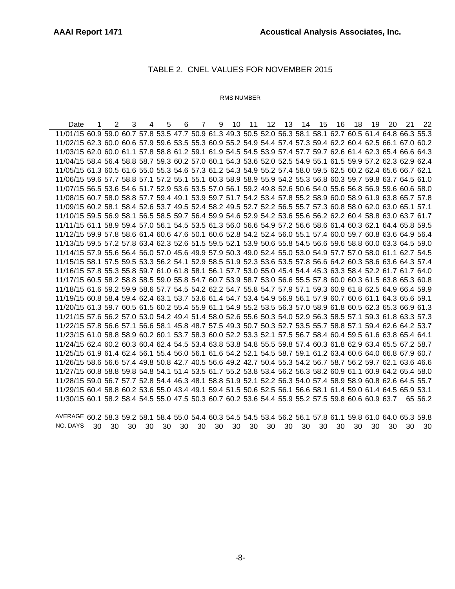#### TABLE 2. CNEL VALUES FOR NOVEMBER 2015

#### RMS NUMBER

Date 1 2 3 4 5 6 7 9 10 11 12 13 14 15 16 18 19 20 21 22 11/01/15 60.9 59.0 60.7 57.8 53.5 47.7 50.9 61.3 49.3 50.5 52.0 56.3 58.1 58.1 62.7 60.5 61.4 64.8 66.3 55.3 11/02/15 62.3 60.0 60.6 57.9 59.6 53.5 55.3 60.9 55.2 54.9 54.4 57.4 57.3 59.4 62.2 60.4 62.5 66.1 67.0 60.2 11/03/15 62.0 60.0 61.1 57.8 58.8 61.2 59.1 61.9 54.5 54.5 53.9 57.4 57.7 59.7 62.6 61.4 62.3 65.4 66.6 64.3 11/04/15 58.4 56.4 58.8 58.7 59.3 60.2 57.0 60.1 54.3 53.6 52.0 52.5 54.9 55.1 61.5 59.9 57.2 62.3 62.9 62.4 11/05/15 61.3 60.5 61.6 55.0 55.3 54.6 57.3 61.2 54.3 54.9 55.2 57.4 58.0 59.5 62.5 60.2 62.4 65.6 66.7 62.1 11/06/15 59.6 57.7 58.8 57.1 57.2 55.1 55.1 60.3 58.9 58.9 55.9 54.2 55.3 56.8 60.3 59.7 59.8 63.7 64.5 61.0 11/07/15 56.5 53.6 54.6 51.7 52.9 53.6 53.5 57.0 56.1 59.2 49.8 52.6 50.6 54.0 55.6 56.8 56.9 59.6 60.6 58.0 11/08/15 60.7 58.0 58.8 57.7 59.4 49.1 53.9 59.7 51.7 54.2 53.4 57.8 55.2 58.9 60.0 58.9 61.9 63.8 65.7 57.8 11/09/15 60.2 58.1 58.4 52.6 53.7 49.5 52.4 58.2 49.5 52.7 52.2 56.5 55.7 57.3 60.8 58.0 62.0 63.0 65.1 57.1 11/10/15 59.5 56.9 58.1 56.5 58.5 59.7 56.4 59.9 54.6 52.9 54.2 53.6 55.6 56.2 62.2 60.4 58.8 63.0 63.7 61.7 11/11/15 61.1 58.9 59.4 57.0 56.1 54.5 53.5 61.3 56.0 56.6 54.9 57.2 56.6 58.6 61.4 60.3 62.1 64.4 65.8 59.5 11/12/15 59.9 57.8 58.6 61.4 60.6 47.6 50.1 60.6 52.8 54.2 52.4 56.0 55.1 57.4 60.0 59.7 60.8 63.6 64.9 56.4 11/13/15 59.5 57.2 57.8 63.4 62.3 52.6 51.5 59.5 52.1 53.9 50.6 55.8 54.5 56.6 59.6 58.8 60.0 63.3 64.5 59.0 11/14/15 57.9 55.6 56.4 56.0 57.0 45.6 49.9 57.9 50.3 49.0 52.4 55.0 53.0 54.9 57.7 57.0 58.0 61.1 62.7 54.5 11/15/15 58.1 57.5 59.5 53.3 56.2 54.1 52.9 58.5 51.9 52.3 53.6 53.5 57.8 56.6 64.2 60.3 58.6 63.6 64.3 57.4 11/16/15 57.8 55.3 55.8 59.7 61.0 61.8 58.1 56.1 57.7 53.0 55.0 45.4 54.4 45.3 63.3 58.4 52.2 61.7 61.7 64.0 11/17/15 60.5 58.2 58.8 58.5 59.0 55.8 54.7 60.7 53.9 58.7 53.0 56.6 55.5 57.8 60.0 60.3 61.5 63.8 65.3 60.8 11/18/15 61.6 59.2 59.9 58.6 57.7 54.5 54.2 62.2 54.7 55.8 54.7 57.9 57.1 59.3 60.9 61.8 62.5 64.9 66.4 59.9 11/19/15 60.8 58.4 59.4 62.4 63.1 53.7 53.6 61.4 54.7 53.4 54.9 56.9 56.1 57.9 60.7 60.6 61.1 64.3 65.6 59.1 11/20/15 61.3 59.7 60.5 61.5 60.2 55.4 55.9 61.1 54.9 55.2 53.5 56.3 57.0 58.9 61.8 60.5 62.3 65.3 66.9 61.3 11/21/15 57.6 56.2 57.0 53.0 54.2 49.4 51.4 58.0 52.6 55.6 50.3 54.0 52.9 56.3 58.5 57.1 59.3 61.8 63.3 57.3 11/22/15 57.8 56.6 57.1 56.6 58.1 45.8 48.7 57.5 49.3 50.7 50.3 52.7 53.5 55.7 58.8 57.1 59.4 62.6 64.2 53.7 11/23/15 61.0 58.8 58.9 60.2 60.1 53.7 58.3 60.0 52.2 53.3 52.1 57.5 56.7 58.4 60.4 59.5 61.6 63.8 65.4 64.1 11/24/15 62.4 60.2 60.3 60.4 62.4 54.5 53.4 63.8 53.8 54.8 55.5 59.8 57.4 60.3 61.8 62.9 63.4 65.5 67.2 58.7 11/25/15 61.9 61.4 62.4 56.1 55.4 56.0 56.1 61.6 54.2 52.1 54.5 58.7 59.1 61.2 63.4 60.6 64.0 66.8 67.9 60.7 11/26/15 58.6 56.6 57.4 49.8 50.8 42.7 40.5 56.6 49.2 42.7 50.4 55.3 54.2 56.7 58.7 56.2 59.7 62.1 63.6 46.6 11/27/15 60.8 58.8 59.8 54.8 54.1 51.4 53.5 61.7 55.2 53.8 53.4 56.2 56.3 58.2 60.9 61.1 60.9 64.2 65.4 58.0 11/28/15 59.0 56.7 57.7 52.8 54.4 46.3 48.1 58.8 51.9 52.1 52.2 56.3 54.0 57.4 58.9 58.9 60.8 62.6 64.5 55.7 11/29/15 60.4 58.8 60.2 53.6 55.0 43.4 49.1 59.4 51.5 50.6 52.5 56.1 56.6 58.1 61.4 59.0 61.4 64.5 65.9 53.1 11/30/15 60.1 58.2 58.4 54.5 55.0 47.5 50.3 60.7 60.2 53.6 54.4 55.9 55.2 57.5 59.8 60.6 60.9 63.7 65 56.2

AVERAGE 60.2 58.3 59.2 58.1 58.4 55.0 54.4 60.3 54.5 54.5 53.4 56.2 56.1 57.8 61.1 59.8 61.0 64.0 65.3 59.8 NO. DAYS 30 30 30 30 30 30 30 30 30 30 30 30 30 30 30 30 30 30 30 30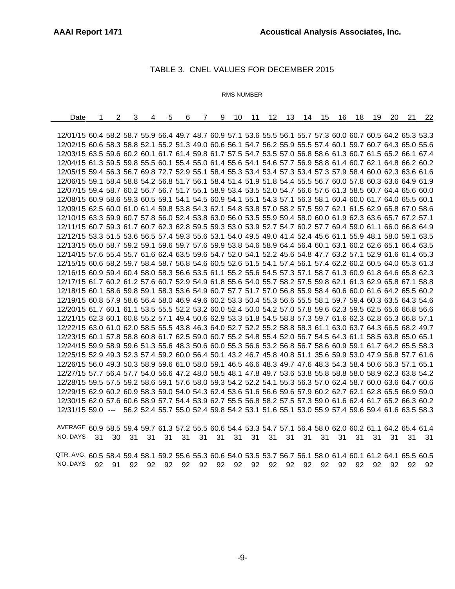### TABLE 3. CNEL VALUES FOR DECEMBER 2015

#### RMS NUMBER

| Date                                                                                                         | 2 | 3 | 4 | 5 | 6 | 9<br>7 | 10 11 12 13 14 15 |  |  | - 16 | 18 | 19 | 20 | 21 | 22                                                                                        |
|--------------------------------------------------------------------------------------------------------------|---|---|---|---|---|--------|-------------------|--|--|------|----|----|----|----|-------------------------------------------------------------------------------------------|
|                                                                                                              |   |   |   |   |   |        |                   |  |  |      |    |    |    |    |                                                                                           |
| 12/01/15 60.4 58.2 58.7 55.9 56.4 49.7 48.7 60.9 57.1 53.6 55.5 56.1 55.7 57.3 60.0 60.7 60.5 64.2 65.3 53.3 |   |   |   |   |   |        |                   |  |  |      |    |    |    |    |                                                                                           |
| 12/02/15 60.6 58.3 58.8 52.1 55.2 51.3 49.0 60.6 56.1 54.7 56.2 55.9 55.5 57.4 60.1 59.7 60.7 64.3 65.0 55.6 |   |   |   |   |   |        |                   |  |  |      |    |    |    |    |                                                                                           |
| 12/03/15 63.5 59.6 60.2 60.1 61.7 61.4 59.8 61.7 57.5 54.7 53.5 57.0 56.8 58.6 61.3 60.7 61.5 65.2 66.1 67.4 |   |   |   |   |   |        |                   |  |  |      |    |    |    |    |                                                                                           |
| 12/04/15 61.3 59.5 59.8 55.5 60.1 55.4 55.0 61.4 55.6 54.1 54.6 57.7 56.9 58.8 61.4 60.7 62.1 64.8 66.2 60.2 |   |   |   |   |   |        |                   |  |  |      |    |    |    |    |                                                                                           |
| 12/05/15 59.4 56.3 56.7 69.8 72.7 52.9 55.1 58.4 55.3 53.4 53.4 57.3 53.4 57.3 57.9 58.4 60.0 62.3 63.6 61.6 |   |   |   |   |   |        |                   |  |  |      |    |    |    |    |                                                                                           |
| 12/06/15 59.1 58.4 58.8 54.2 56.8 51.7 56.1 58.4 51.4 51.9 51.8 54.4 55.5 56.7 60.0 57.8 60.3 63.6 64.9 61.9 |   |   |   |   |   |        |                   |  |  |      |    |    |    |    |                                                                                           |
| 12/07/15 59.4 58.7 60.2 56.7 56.7 51.7 55.1 58.9 53.4 53.5 52.0 54.7 56.6 57.6 61.3 58.5 60.7 64.4 65.6 60.0 |   |   |   |   |   |        |                   |  |  |      |    |    |    |    |                                                                                           |
| 12/08/15 60.9 58.6 59.3 60.5 59.1 54.1 54.5 60.9 54.1 55.1 54.3 57.1 56.3 58.1 60.4 60.0 61.7 64.0 65.5 60.1 |   |   |   |   |   |        |                   |  |  |      |    |    |    |    |                                                                                           |
| 12/09/15 62.5 60.0 61.0 61.4 59.8 53.8 54.3 62.1 54.8 53.8 57.0 58.2 57.5 59.7 62.1 61.5 62.9 65.8 67.0 58.6 |   |   |   |   |   |        |                   |  |  |      |    |    |    |    |                                                                                           |
| 12/10/15 63.3 59.9 60.7 57.8 56.0 52.4 53.8 63.0 56.0 53.5 55.9 59.4 58.0 60.0 61.9 62.3 63.6 65.7 67.2 57.1 |   |   |   |   |   |        |                   |  |  |      |    |    |    |    |                                                                                           |
| 12/11/15 60.7 59.3 61.7 60.7 62.3 62.8 59.5 59.3 53.0 53.9 52.7 54.7 60.2 57.7 69.4 59.0 61.1 66.0 66.8 64.9 |   |   |   |   |   |        |                   |  |  |      |    |    |    |    |                                                                                           |
| 12/12/15 53.3 51.5 53.6 56.5 57.4 59.3 55.6 53.1 54.0 49.5 49.0 41.4 52.4 45.6 61.1 55.9 48.1 58.0 59.1 63.5 |   |   |   |   |   |        |                   |  |  |      |    |    |    |    |                                                                                           |
| 12/13/15 65.0 58.7 59.2 59.1 59.6 59.7 57.6 59.9 53.8 54.6 58.9 64.4 56.4 60.1 63.1 60.2 62.6 65.1 66.4 63.5 |   |   |   |   |   |        |                   |  |  |      |    |    |    |    |                                                                                           |
| 12/14/15 57.6 55.4 55.7 61.6 62.4 63.5 59.6 54.7 52.0 54.1 52.2 45.6 54.8 47.7 63.2 57.1 52.9 61.6 61.4 65.3 |   |   |   |   |   |        |                   |  |  |      |    |    |    |    |                                                                                           |
| 12/15/15 60.6 58.2 59.7 58.4 58.7 56.8 54.6 60.5 52.6 51.5 54.1 57.4 56.1 57.4 62.2 60.2 60.5 64.0 65.3 61.3 |   |   |   |   |   |        |                   |  |  |      |    |    |    |    |                                                                                           |
| 12/16/15 60.9 59.4 60.4 58.0 58.3 56.6 53.5 61.1 55.2 55.6 54.5 57.3 57.1 58.7 61.3 60.9 61.8 64.6 65.8 62.3 |   |   |   |   |   |        |                   |  |  |      |    |    |    |    |                                                                                           |
| 12/17/15 61.7 60.2 61.2 57.6 60.7 52.9 54.9 61.8 55.6 54.0 55.7 58.2 57.5 59.8 62.1 61.3 62.9 65.8 67.1 58.8 |   |   |   |   |   |        |                   |  |  |      |    |    |    |    |                                                                                           |
| 12/18/15 60.1 58.6 59.8 59.1 58.3 53.6 54.9 60.7 57.7 51.7 57.0 56.8 55.9 58.4 60.6 60.0 61.6 64.2 65.5 60.2 |   |   |   |   |   |        |                   |  |  |      |    |    |    |    |                                                                                           |
| 12/19/15 60.8 57.9 58.6 56.4 58.0 46.9 49.6 60.2 53.3 50.4 55.3 56.6 55.5 58.1 59.7 59.4 60.3 63.5 64.3 54.6 |   |   |   |   |   |        |                   |  |  |      |    |    |    |    |                                                                                           |
| 12/20/15 61.7 60.1 61.1 53.5 55.5 52.2 53.2 60.0 52.4 50.0 54.2 57.0 57.8 59.6 62.3 59.5 62.5 65.6 66.8 56.6 |   |   |   |   |   |        |                   |  |  |      |    |    |    |    |                                                                                           |
| 12/21/15 62.3 60.1 60.8 55.2 57.1 49.4 50.6 62.9 53.3 51.8 54.5 58.8 57.3 59.7 61.6 62.3 62.8 65.3 66.8 57.1 |   |   |   |   |   |        |                   |  |  |      |    |    |    |    |                                                                                           |
| 12/22/15 63.0 61.0 62.0 58.5 55.5 43.8 46.3 64.0 52.7 52.2 55.2 58.8 58.3 61.1 63.0 63.7 64.3 66.5 68.2 49.7 |   |   |   |   |   |        |                   |  |  |      |    |    |    |    |                                                                                           |
| 12/23/15 60.1 57.8 58.8 60.8 61.7 62.5 59.0 60.7 55.2 54.8 55.4 52.0 56.7 54.5 64.3 61.1 58.5 63.8 65.0 65.1 |   |   |   |   |   |        |                   |  |  |      |    |    |    |    |                                                                                           |
| 12/24/15 59.9 58.9 59.6 51.3 55.6 48.3 50.6 60.0 55.3 56.6 53.2 56.8 56.7 58.6 60.9 59.1 61.7 64.2 65.5 58.3 |   |   |   |   |   |        |                   |  |  |      |    |    |    |    |                                                                                           |
| 12/25/15 52.9 49.3 52.3 57.4 59.2 60.0 56.4 50.1 43.2 46.7 45.8 40.8 51.1 35.6 59.9 53.0 47.9 56.8 57.7 61.6 |   |   |   |   |   |        |                   |  |  |      |    |    |    |    |                                                                                           |
| 12/26/15 56.0 49.3 50.3 58.9 59.6 61.0 58.0 59.1 46.5 46.6 48.3 49.7 47.6 48.3 54.3 58.4 50.6 56.3 57.1 65.1 |   |   |   |   |   |        |                   |  |  |      |    |    |    |    |                                                                                           |
| 12/27/15 57.7 56.4 57.7 54.0 56.6 47.2 48.0 58.5 48.1 47.8 49.7 53.6 53.8 55.8 58.8 58.0 58.9 62.3 63.8 54.2 |   |   |   |   |   |        |                   |  |  |      |    |    |    |    |                                                                                           |
| 12/28/15 59.5 57.5 59.2 58.6 59.1 57.6 58.0 59.3 54.2 52.2 54.1 55.3 56.3 57.0 62.4 58.7 60.0 63.6 64.7 60.6 |   |   |   |   |   |        |                   |  |  |      |    |    |    |    |                                                                                           |
| 12/29/15 62.9 60.2 60.9 58.3 59.0 54.0 54.3 62.4 53.6 51.6 56.6 59.6 57.9 60.2 62.7 62.1 62.8 65.5 66.9 59.0 |   |   |   |   |   |        |                   |  |  |      |    |    |    |    |                                                                                           |
| 12/30/15 62.0 57.6 60.6 58.9 57.7 54.4 53.9 62.7 55.5 56.8 58.2 57.5 57.3 59.0 61.6 62.4 61.7 65.2 66.3 60.2 |   |   |   |   |   |        |                   |  |  |      |    |    |    |    |                                                                                           |
| $12/31/15$ 59.0 ---                                                                                          |   |   |   |   |   |        |                   |  |  |      |    |    |    |    | 56.2 52.4 55.7 55.0 52.4 59.8 54.2 53.1 51.6 55.1 53.0 55.9 57.4 59.6 59.4 61.6 63.5 58.3 |
|                                                                                                              |   |   |   |   |   |        |                   |  |  |      |    |    |    |    |                                                                                           |
| AVERAGE 60.9 58.5 59.4 59.7 61.3 57.2 55.5 60.6 54.4 53.3 54.7 57.1 56.4 58.0 62.0 60.2 61.1 64.2 65.4 61.4  |   |   |   |   |   |        |                   |  |  |      |    |    |    |    |                                                                                           |
|                                                                                                              |   |   |   |   |   |        |                   |  |  |      |    |    |    |    |                                                                                           |

NO. DAYS 31 30 31 31 31 31 31 31 31 31 31 31 31 31 31 31 31 31 31 31

QTR. AVG. 60.5 58.4 59.4 58.1 59.2 55.6 55.3 60.6 54.0 53.5 53.7 56.7 56.1 58.0 61.4 60.1 61.2 64.1 65.5 60.5 NO. DAYS 92 91 92 92 92 92 92 92 92 92 92 92 92 92 92 92 92 92 92 92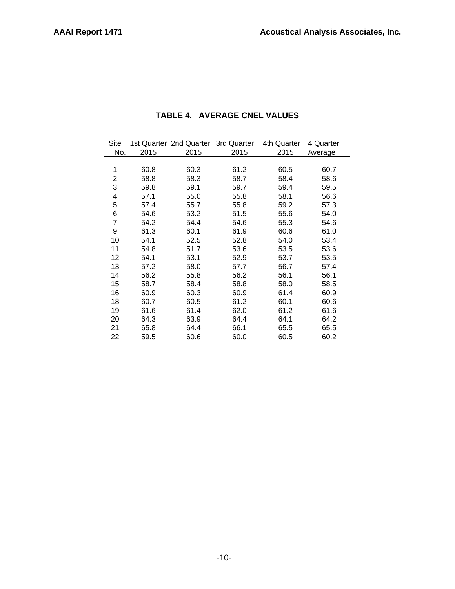| Site           |      | 1st Quarter 2nd Quarter 3rd Quarter |      | 4th Quarter | 4 Quarter |  |
|----------------|------|-------------------------------------|------|-------------|-----------|--|
| No.            | 2015 | 2015                                | 2015 | 2015        | Average   |  |
|                |      |                                     |      |             |           |  |
| 1              | 60.8 | 60.3                                | 61.2 | 60.5        | 60.7      |  |
| 2              | 58.8 | 58.3                                | 58.7 | 58.4        | 58.6      |  |
| 3              | 59.8 | 59.1                                | 59.7 | 59.4        | 59.5      |  |
| 4              | 57.1 | 55.0                                | 55.8 | 58.1        | 56.6      |  |
| 5              | 57.4 | 55.7                                | 55.8 | 59.2        | 57.3      |  |
| 6              | 54.6 | 53.2                                | 51.5 | 55.6        | 54.0      |  |
| $\overline{7}$ | 54.2 | 54.4                                | 54.6 | 55.3        | 54.6      |  |
| 9              | 61.3 | 60.1                                | 61.9 | 60.6        | 61.0      |  |
| 10             | 54.1 | 52.5                                | 52.8 | 54.0        | 53.4      |  |
| 11             | 54.8 | 51.7                                | 53.6 | 53.5        | 53.6      |  |
| 12             | 54.1 | 53.1                                | 52.9 | 53.7        | 53.5      |  |
| 13             | 57.2 | 58.0                                | 57.7 | 56.7        | 57.4      |  |
| 14             | 56.2 | 55.8                                | 56.2 | 56.1        | 56.1      |  |
| 15             | 58.7 | 58.4                                | 58.8 | 58.0        | 58.5      |  |
| 16             | 60.9 | 60.3                                | 60.9 | 61.4        | 60.9      |  |
| 18             | 60.7 | 60.5                                | 61.2 | 60.1        | 60.6      |  |
| 19             | 61.6 | 61.4                                | 62.0 | 61.2        | 61.6      |  |
| 20             | 64.3 | 63.9                                | 64.4 | 64.1        | 64.2      |  |
| 21             | 65.8 | 64.4                                | 66.1 | 65.5        | 65.5      |  |
| 22             | 59.5 | 60.6                                | 60.0 | 60.5        | 60.2      |  |
|                |      |                                     |      |             |           |  |

## **TABLE 4. AVERAGE CNEL VALUES**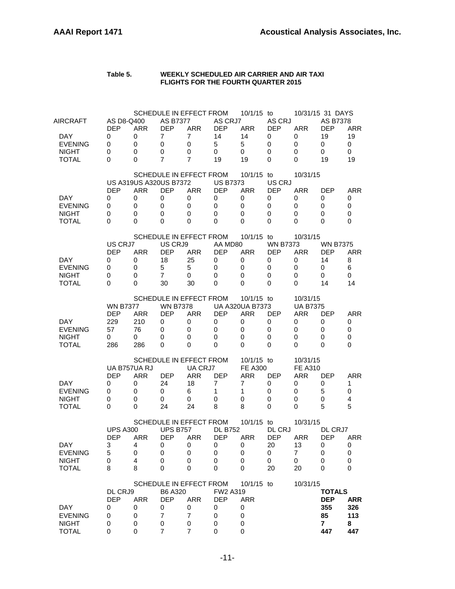#### **Table 5. WEEKLY SCHEDULED AIR CARRIER AND AIR TAXI FLIGHTS FOR THE FOURTH QUARTER 2015**

| AIRCRAFT                               | AS D8-Q400                    |                               | AS B7377                      | SCHEDULE IN EFFECT FROM                | AS CRJ7                       | 10/1/15 to                           | AS CRJ                        |                              | 10/31/15 31 DAYS<br><b>AS B7378</b> |                     |
|----------------------------------------|-------------------------------|-------------------------------|-------------------------------|----------------------------------------|-------------------------------|--------------------------------------|-------------------------------|------------------------------|-------------------------------------|---------------------|
| DAY.<br><b>EVENING</b><br><b>NIGHT</b> | <b>DEP</b><br>0<br>0<br>0     | <b>ARR</b><br>0<br>0<br>0     | <b>DEP</b><br>7<br>0<br>0     | <b>ARR</b><br>$\overline{7}$<br>0<br>0 | <b>DEP</b><br>14<br>5<br>0    | <b>ARR</b><br>14<br>5<br>0           | <b>DEP</b><br>0<br>0<br>0     | <b>ARR</b><br>0<br>0<br>0    | <b>DEP</b><br>19<br>0<br>$\Omega$   | ARR<br>19<br>0<br>0 |
| <b>TOTAL</b>                           | 0                             | 0                             | 7                             | $\overline{7}$                         | 19                            | 19                                   | 0                             | 0                            | 19                                  | 19                  |
|                                        |                               | <b>US A319US A320US B7372</b> |                               | SCHEDULE IN EFFECT FROM                | <b>US B7373</b>               | 10/1/15 to                           | US CRJ                        | 10/31/15                     |                                     |                     |
| DAY.                                   | <b>DEP</b><br>0               | <b>ARR</b><br>0               | <b>DEP</b><br>0               | <b>ARR</b><br>0                        | <b>DEP</b><br>0               | <b>ARR</b><br>0                      | <b>DEP</b><br>0               | <b>ARR</b><br>0              | <b>DEP</b><br>0                     | ARR<br>0            |
| <b>EVENING</b><br><b>NIGHT</b>         | 0                             | 0                             | 0                             | 0                                      | 0                             | 0                                    | 0                             | 0                            | 0                                   | 0                   |
| <b>TOTAL</b>                           | 0<br>0                        | 0<br>0                        | 0<br>0                        | 0<br>0                                 | 0<br>0                        | 0<br>0                               | 0<br>0                        | 0<br>0                       | 0<br>$\Omega$                       | 0<br>0              |
|                                        |                               |                               |                               | SCHEDULE IN EFFECT FROM                |                               | $10/1/15$ to                         |                               | 10/31/15                     |                                     |                     |
|                                        | US CRJ7<br><b>DEP</b>         | <b>ARR</b>                    | US CRJ9<br><b>DEP</b>         | <b>ARR</b>                             | AA MD80<br><b>DEP</b>         | <b>ARR</b>                           | <b>WN B7373</b><br><b>DEP</b> | <b>ARR</b>                   | <b>WN B7375</b><br>DEP              | <b>ARR</b>          |
| DAY.                                   | 0                             | 0                             | 18                            | 25                                     | 0                             | 0                                    | 0                             | 0                            | 14                                  | 8                   |
| <b>EVENING</b><br><b>NIGHT</b>         | 0<br>0                        | 0<br>0                        | 5<br>$\overline{7}$           | 5<br>0                                 | 0<br>0                        | 0<br>0                               | 0<br>0                        | 0<br>0                       | 0<br>0                              | 6<br>0              |
| <b>TOTAL</b>                           | 0                             | 0                             | 30                            | 30                                     | 0                             | 0                                    | 0                             | 0                            | 14                                  | 14                  |
|                                        | <b>WN B7377</b>               |                               | <b>WN B7378</b>               | SCHEDULE IN EFFECT FROM                |                               | 10/1/15 to<br><b>UA A320UA B7373</b> |                               | 10/31/15<br><b>UA B7375</b>  |                                     |                     |
|                                        | <b>DEP</b>                    | <b>ARR</b>                    | <b>DEP</b>                    | <b>ARR</b>                             | <b>DEP</b>                    | <b>ARR</b>                           | <b>DEP</b>                    | <b>ARR</b>                   | <b>DEP</b>                          | ARR                 |
| DAY.                                   | 229                           | 210                           | 0                             | 0                                      | 0                             | 0                                    | 0                             | 0                            | 0                                   | 0                   |
| <b>EVENING</b><br><b>NIGHT</b>         | 57<br>0                       | 76<br>0                       | 0<br>0                        | 0<br>0                                 | 0<br>0                        | 0<br>0                               | 0<br>0                        | 0<br>0                       | 0<br>0                              | 0<br>0              |
| <b>TOTAL</b>                           | 286                           | 286                           | 0                             | 0                                      | 0                             | $\Omega$                             | 0                             | $\Omega$                     | 0                                   | 0                   |
|                                        |                               |                               |                               | SCHEDULE IN EFFECT FROM                |                               | 10/1/15 to                           |                               | 10/31/15                     |                                     |                     |
|                                        | UA B757UA RJ<br><b>DEP</b>    | <b>ARR</b>                    | <b>DEP</b>                    | UA CRJ7<br><b>ARR</b>                  | <b>DEP</b>                    | <b>FE A300</b><br>ARR                | <b>DEP</b>                    | <b>FE A310</b><br><b>ARR</b> | <b>DEP</b>                          | ARR                 |
| DAY.                                   | 0                             | 0                             | 24                            | 18                                     | 7                             | 7                                    | 0                             | 0                            | 0                                   | 1                   |
| <b>EVENING</b><br><b>NIGHT</b>         | 0<br>0                        | 0<br>0                        | 0<br>0                        | 6<br>0                                 | 1<br>0                        | 1<br>0                               | 0<br>0                        | 0<br>0                       | 5<br>0                              | 0<br>4              |
| <b>TOTAL</b>                           | 0                             | 0                             | 24                            | 24                                     | 8                             | 8                                    | 0                             | 0                            | 5                                   | 5                   |
|                                        |                               |                               |                               | SCHEDULE IN EFFECT FROM                |                               | 10/1/15 to                           |                               | 10/31/15                     |                                     |                     |
|                                        | <b>UPS A300</b><br><b>DEP</b> | ARR                           | <b>UPS B757</b><br><b>DEP</b> | ARR                                    | <b>DL B752</b><br><b>DEP</b>  | ARR                                  | DL CRJ<br><b>DEP</b>          | <b>ARR</b>                   | DL CRJ7<br><b>DEP</b>               | ARR                 |
| <b>DAY</b>                             | 3                             | 4                             | O                             | U                                      | O                             | U                                    | 20                            | 13                           | U                                   | U                   |
| <b>EVENING</b>                         | 5                             | 0                             | 0                             | 0                                      | 0                             | 0                                    | 0                             | $\overline{7}$               | 0                                   | 0                   |
| <b>NIGHT</b><br><b>TOTAL</b>           | 0<br>8                        | 4<br>8                        | 0<br>0                        | 0<br>0                                 | 0<br>0                        | 0<br>0                               | 0<br>20                       | 0<br>20                      | 0<br>0                              | 0<br>0              |
|                                        |                               |                               |                               | SCHEDULE IN EFFECT FROM                |                               | 10/1/15 to                           |                               | 10/31/15                     |                                     |                     |
|                                        | DL CRJ9<br><b>DEP</b>         | <b>ARR</b>                    | B6 A320<br><b>DEP</b>         | <b>ARR</b>                             | <b>FW2 A319</b><br><b>DEP</b> | <b>ARR</b>                           |                               |                              | <b>TOTALS</b><br><b>DEP</b>         | <b>ARR</b>          |
| <b>DAY</b>                             | 0                             | 0                             | 0                             | 0                                      | 0                             | 0                                    |                               |                              | 355                                 | 326                 |
| <b>EVENING</b>                         | 0                             | 0                             | $\overline{7}$                | $\overline{7}$                         | 0                             | 0                                    |                               |                              | 85                                  | 113                 |
| <b>NIGHT</b><br><b>TOTAL</b>           | 0<br>0                        | 0<br>0                        | 0<br>7                        | 0<br>$\overline{7}$                    | 0<br>0                        | 0<br>0                               |                               |                              | $\mathbf{7}$<br>447                 | 8<br>447            |
|                                        |                               |                               |                               |                                        |                               |                                      |                               |                              |                                     |                     |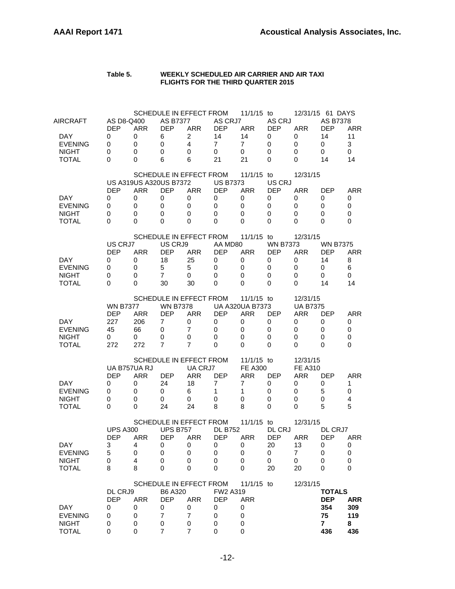#### **Table 5. WEEKLY SCHEDULED AIR CARRIER AND AIR TAXI FLIGHTS FOR THE THIRD QUARTER 2015**

| AIRCRAFT                               | AS D8-Q400                    |                               | AS B7377                      | SCHEDULE IN EFFECT FROM                | AS CRJ7                                 | 11/1/15 to                              | AS CRJ                    |                              | 12/31/15 61 DAYS<br><b>AS B7378</b>  |                            |
|----------------------------------------|-------------------------------|-------------------------------|-------------------------------|----------------------------------------|-----------------------------------------|-----------------------------------------|---------------------------|------------------------------|--------------------------------------|----------------------------|
| DAY.<br><b>EVENING</b><br><b>NIGHT</b> | <b>DEP</b><br>0<br>0<br>0     | <b>ARR</b><br>0<br>0<br>0     | <b>DEP</b><br>6<br>0<br>0     | <b>ARR</b><br>$\overline{2}$<br>4<br>0 | <b>DEP</b><br>14<br>$\overline{7}$<br>0 | <b>ARR</b><br>14<br>$\overline{7}$<br>0 | <b>DEP</b><br>0<br>0<br>0 | <b>ARR</b><br>0<br>0<br>0    | <b>DEP</b><br>14<br>$\mathbf 0$<br>0 | <b>ARR</b><br>11<br>3<br>0 |
| <b>TOTAL</b>                           | 0                             | 0                             | 6                             | 6<br>SCHEDULE IN EFFECT FROM           | 21                                      | 21<br>11/1/15 to                        | 0                         | 0<br>12/31/15                | 14                                   | 14                         |
|                                        |                               | <b>US A319US A320US B7372</b> |                               |                                        | <b>US B7373</b>                         |                                         | US CRJ                    |                              |                                      |                            |
| DAY.                                   | <b>DEP</b><br>0               | <b>ARR</b><br>0               | <b>DEP</b><br>0               | <b>ARR</b><br>0                        | <b>DEP</b><br>0                         | <b>ARR</b><br>0                         | <b>DEP</b><br>0           | <b>ARR</b><br>0              | <b>DEP</b><br>0                      | ARR<br>0                   |
| <b>EVENING</b><br><b>NIGHT</b>         | 0<br>0                        | 0<br>0                        | 0<br>0                        | 0<br>0                                 | 0<br>0                                  | 0<br>0                                  | 0<br>0                    | 0<br>0                       | 0<br>0                               | 0<br>0                     |
| <b>TOTAL</b>                           | 0                             | 0                             | 0                             | 0                                      | 0                                       | 0                                       | 0                         | 0                            | $\Omega$                             | 0                          |
|                                        | US CRJ7                       |                               | US CRJ9                       | SCHEDULE IN EFFECT FROM                | AA MD80                                 | $11/1/15$ to                            | <b>WN B7373</b>           | 12/31/15                     | <b>WN B7375</b>                      |                            |
|                                        | <b>DEP</b>                    | <b>ARR</b>                    | <b>DEP</b>                    | <b>ARR</b>                             | <b>DEP</b>                              | <b>ARR</b>                              | <b>DEP</b>                | <b>ARR</b>                   | DEP                                  | <b>ARR</b>                 |
| DAY.<br><b>EVENING</b>                 | 0<br>0                        | 0<br>0                        | 18<br>5                       | 25<br>5                                | 0<br>0                                  | 0<br>0                                  | 0<br>0                    | 0<br>0                       | 14<br>0                              | 8<br>6                     |
| <b>NIGHT</b>                           | 0                             | 0                             | $\overline{7}$                | 0                                      | 0                                       | 0                                       | 0                         | 0                            | 0                                    | 0                          |
| <b>TOTAL</b>                           | 0                             | 0                             | 30                            | 30                                     | 0                                       | 0                                       | 0                         | 0                            | 14                                   | 14                         |
|                                        | <b>WN B7377</b>               |                               | <b>WN B7378</b>               | SCHEDULE IN EFFECT FROM                |                                         | 11/1/15 to<br><b>UA A320UA B7373</b>    |                           | 12/31/15<br><b>UA B7375</b>  |                                      |                            |
|                                        | <b>DEP</b>                    | <b>ARR</b>                    | <b>DEP</b>                    | <b>ARR</b>                             | <b>DEP</b>                              | <b>ARR</b>                              | <b>DEP</b>                | <b>ARR</b>                   | <b>DEP</b>                           | <b>ARR</b>                 |
| DAY.                                   | 227                           | 206                           | 7                             | 0                                      | 0                                       | 0                                       | 0                         | 0                            | 0                                    | 0                          |
| <b>EVENING</b><br><b>NIGHT</b>         | 45<br>0                       | 66<br>0                       | 0<br>0                        | $\overline{7}$<br>0                    | 0<br>0                                  | 0<br>0                                  | 0<br>0                    | 0<br>0                       | 0<br>0                               | 0<br>0                     |
| <b>TOTAL</b>                           | 272                           | 272                           | 7                             | $\overline{7}$                         | 0                                       | $\Omega$                                | 0                         | $\Omega$                     | 0                                    | 0                          |
|                                        |                               |                               |                               | SCHEDULE IN EFFECT FROM                |                                         | 11/1/15 to                              |                           | 12/31/15                     |                                      |                            |
|                                        | UA B757UA RJ<br><b>DEP</b>    | <b>ARR</b>                    | <b>DEP</b>                    | UA CRJ7<br><b>ARR</b>                  | <b>DEP</b>                              | <b>FE A300</b><br>ARR                   | <b>DEP</b>                | <b>FE A310</b><br><b>ARR</b> | <b>DEP</b>                           | ARR                        |
| DAY.                                   | 0                             | 0                             | 24                            | 18                                     | 7                                       | 7                                       | 0                         | 0                            | 0                                    | 1                          |
| <b>EVENING</b><br><b>NIGHT</b>         | 0<br>0                        | 0<br>0                        | 0<br>0                        | 6<br>0                                 | 1<br>0                                  | 1<br>0                                  | 0<br>0                    | 0<br>0                       | 5<br>0                               | 0<br>4                     |
| <b>TOTAL</b>                           | 0                             | 0                             | 24                            | 24                                     | 8                                       | 8                                       | 0                         | 0                            | 5                                    | 5                          |
|                                        |                               |                               |                               | SCHEDULE IN EFFECT FROM                |                                         | 11/1/15 to                              |                           | 12/31/15                     |                                      |                            |
|                                        | <b>UPS A300</b><br><b>DEP</b> | <b>ARR</b>                    | <b>UPS B757</b><br><b>DEP</b> | ARR                                    | <b>DL B752</b><br><b>DEP</b>            | <b>ARR</b>                              | DL CRJ<br><b>DEP</b>      | <b>ARR</b>                   | DL CRJ7<br><b>DEP</b>                | <b>ARR</b>                 |
| DAY                                    | 3                             | 4                             | O                             | U                                      | U                                       | U                                       | 20                        | 13                           | U                                    | U                          |
| <b>EVENING</b><br><b>NIGHT</b>         | 5<br>0                        | 0<br>4                        | 0<br>0                        | 0<br>0                                 | 0<br>0                                  | 0<br>0                                  | 0<br>0                    | $\overline{7}$<br>0          | 0<br>0                               | 0<br>0                     |
| <b>TOTAL</b>                           | 8                             | 8                             | 0                             | 0                                      | 0                                       | 0                                       | 20                        | 20                           | 0                                    | 0                          |
|                                        |                               |                               |                               | SCHEDULE IN EFFECT FROM                |                                         | 11/1/15 to                              |                           | 12/31/15                     |                                      |                            |
|                                        | DL CRJ9                       |                               | B6 A320                       |                                        | <b>FW2 A319</b>                         |                                         |                           |                              | <b>TOTALS</b>                        |                            |
| <b>DAY</b>                             | <b>DEP</b><br>0               | <b>ARR</b><br>0               | <b>DEP</b><br>0               | <b>ARR</b><br>0                        | <b>DEP</b><br>0                         | <b>ARR</b><br>0                         |                           |                              | <b>DEP</b><br>354                    | <b>ARR</b><br>309          |
| <b>EVENING</b>                         | 0                             | 0                             | 7                             | $\overline{7}$                         | 0                                       | 0                                       |                           |                              | 75                                   | 119                        |
| <b>NIGHT</b><br><b>TOTAL</b>           | 0<br>0                        | 0<br>0                        | 0<br>7                        | 0<br>$\overline{7}$                    | 0<br>0                                  | 0<br>0                                  |                           |                              | $\mathbf{7}$<br>436                  | 8<br>436                   |
|                                        |                               |                               |                               |                                        |                                         |                                         |                           |                              |                                      |                            |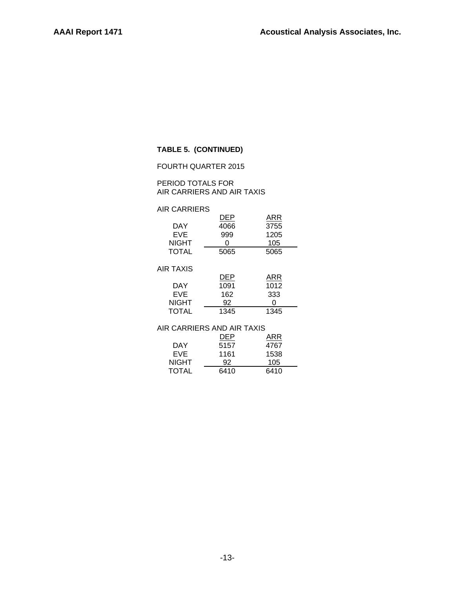## **TABLE 5. (CONTINUED)**

#### FOURTH QUARTER 2015

PERIOD TOTALS FOR AIR CARRIERS AND AIR TAXIS

### AIR CARRIERS

| DEP<br>4066 | ARR<br>3755 |
|-------------|-------------|
| 999         | 1205        |
| ი           | 105         |
| 5065        | 5065        |
|             |             |
| DEP         | ARR         |
| 1091        | 1012        |
| 162         | 333         |
| 92          |             |
| 1345        | 1345        |
|             |             |

#### AIR CARRIERS AND AIR TAXIS

|              | DEP  | ARR  |
|--------------|------|------|
| DAY          | 5157 | 4767 |
| EVE.         | 1161 | 1538 |
| NIGHT        | 92   | 105  |
| <b>TOTAL</b> | 6410 | 6410 |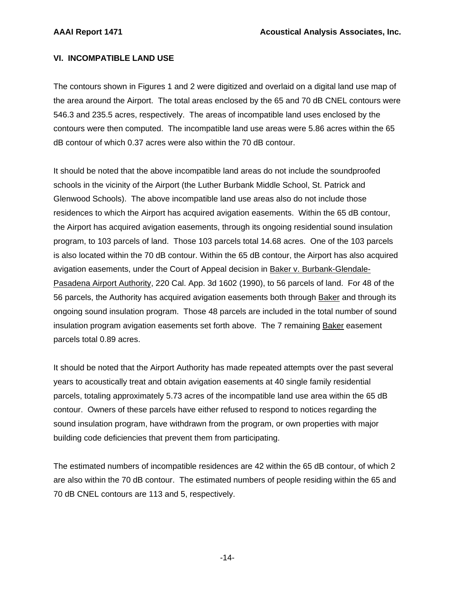## **VI. INCOMPATIBLE LAND USE**

The contours shown in Figures 1 and 2 were digitized and overlaid on a digital land use map of the area around the Airport. The total areas enclosed by the 65 and 70 dB CNEL contours were 546.3 and 235.5 acres, respectively. The areas of incompatible land uses enclosed by the contours were then computed. The incompatible land use areas were 5.86 acres within the 65 dB contour of which 0.37 acres were also within the 70 dB contour.

It should be noted that the above incompatible land areas do not include the soundproofed schools in the vicinity of the Airport (the Luther Burbank Middle School, St. Patrick and Glenwood Schools). The above incompatible land use areas also do not include those residences to which the Airport has acquired avigation easements. Within the 65 dB contour, the Airport has acquired avigation easements, through its ongoing residential sound insulation program, to 103 parcels of land. Those 103 parcels total 14.68 acres. One of the 103 parcels is also located within the 70 dB contour. Within the 65 dB contour, the Airport has also acquired avigation easements, under the Court of Appeal decision in Baker v. Burbank-Glendale-Pasadena Airport Authority, 220 Cal. App. 3d 1602 (1990), to 56 parcels of land. For 48 of the 56 parcels, the Authority has acquired avigation easements both through Baker and through its ongoing sound insulation program. Those 48 parcels are included in the total number of sound insulation program avigation easements set forth above. The 7 remaining Baker easement parcels total 0.89 acres.

It should be noted that the Airport Authority has made repeated attempts over the past several years to acoustically treat and obtain avigation easements at 40 single family residential parcels, totaling approximately 5.73 acres of the incompatible land use area within the 65 dB contour. Owners of these parcels have either refused to respond to notices regarding the sound insulation program, have withdrawn from the program, or own properties with major building code deficiencies that prevent them from participating.

The estimated numbers of incompatible residences are 42 within the 65 dB contour, of which 2 are also within the 70 dB contour. The estimated numbers of people residing within the 65 and 70 dB CNEL contours are 113 and 5, respectively.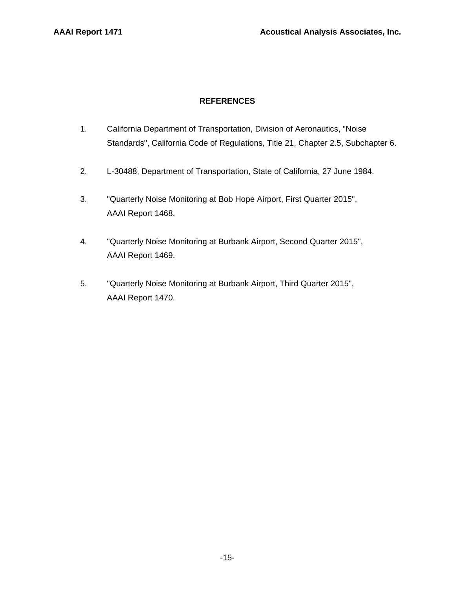## **REFERENCES**

- 1. California Department of Transportation, Division of Aeronautics, "Noise Standards", California Code of Regulations, Title 21, Chapter 2.5, Subchapter 6.
- 2. L-30488, Department of Transportation, State of California, 27 June 1984.
- 3. "Quarterly Noise Monitoring at Bob Hope Airport, First Quarter 2015", AAAI Report 1468.
- 4. "Quarterly Noise Monitoring at Burbank Airport, Second Quarter 2015", AAAI Report 1469.
- 5. "Quarterly Noise Monitoring at Burbank Airport, Third Quarter 2015", AAAI Report 1470.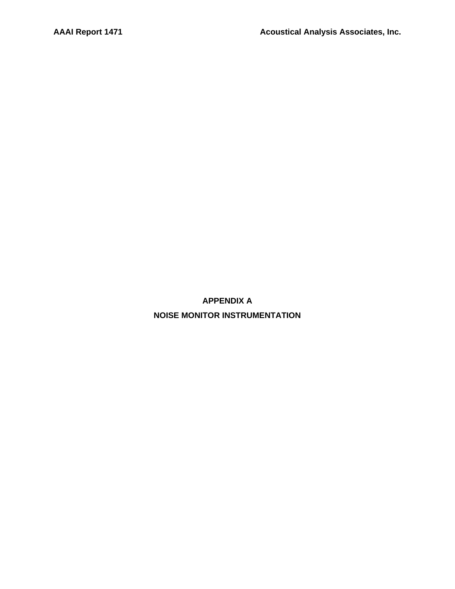**APPENDIX A NOISE MONITOR INSTRUMENTATION**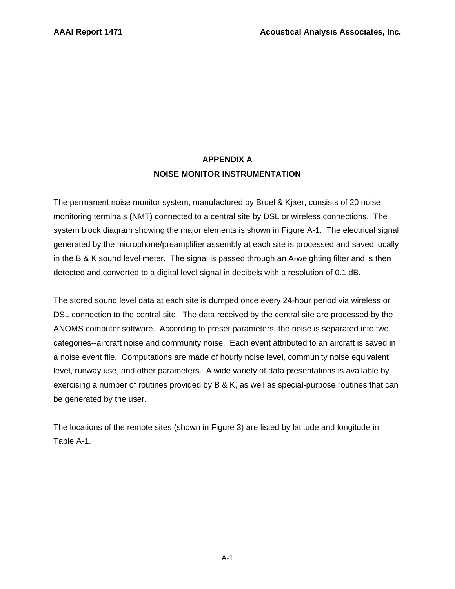## **APPENDIX A NOISE MONITOR INSTRUMENTATION**

The permanent noise monitor system, manufactured by Bruel & Kjaer, consists of 20 noise monitoring terminals (NMT) connected to a central site by DSL or wireless connections. The system block diagram showing the major elements is shown in Figure A-1. The electrical signal generated by the microphone/preamplifier assembly at each site is processed and saved locally in the B & K sound level meter. The signal is passed through an A-weighting filter and is then detected and converted to a digital level signal in decibels with a resolution of 0.1 dB.

The stored sound level data at each site is dumped once every 24-hour period via wireless or DSL connection to the central site. The data received by the central site are processed by the ANOMS computer software. According to preset parameters, the noise is separated into two categories--aircraft noise and community noise. Each event attributed to an aircraft is saved in a noise event file. Computations are made of hourly noise level, community noise equivalent level, runway use, and other parameters. A wide variety of data presentations is available by exercising a number of routines provided by B & K, as well as special-purpose routines that can be generated by the user.

The locations of the remote sites (shown in Figure 3) are listed by latitude and longitude in Table A-1.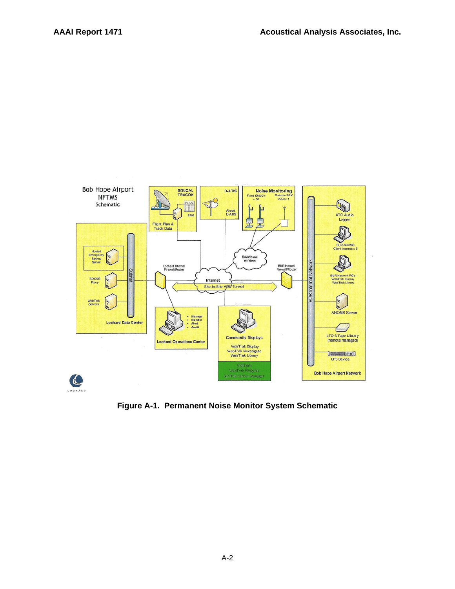

**Figure A-1. Permanent Noise Monitor System Schematic**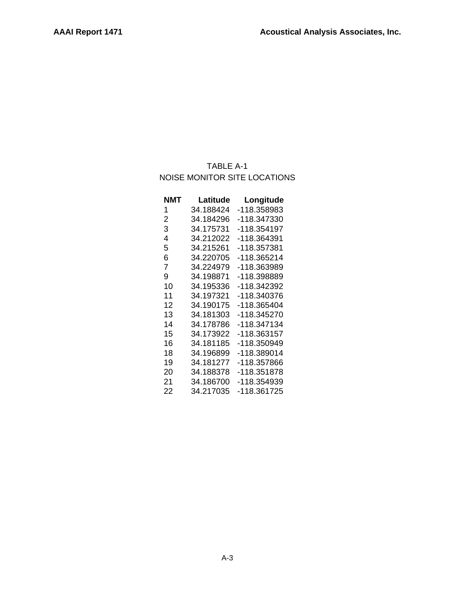## TABLE A-1 NOISE MONITOR SITE LOCATIONS

| NMT | Latitude  | Longitude   |
|-----|-----------|-------------|
| 1   | 34.188424 | -118.358983 |
| 2   | 34.184296 | -118.347330 |
| 3   | 34.175731 | -118.354197 |
| 4   | 34.212022 | -118.364391 |
| 5   | 34.215261 | -118.357381 |
| 6   | 34.220705 | -118.365214 |
| 7   | 34.224979 | -118.363989 |
| 9   | 34.198871 | -118.398889 |
| 10  | 34.195336 | -118.342392 |
| 11  | 34.197321 | -118.340376 |
| 12  | 34.190175 | -118.365404 |
| 13  | 34.181303 | -118.345270 |
| 14  | 34.178786 | -118.347134 |
| 15  | 34.173922 | -118.363157 |
| 16  | 34.181185 | -118.350949 |
| 18  | 34.196899 | -118.389014 |
| 19  | 34.181277 | -118.357866 |
| 20  | 34.188378 | -118.351878 |
| 21  | 34.186700 | -118.354939 |
| 22  | 34.217035 | -118.361725 |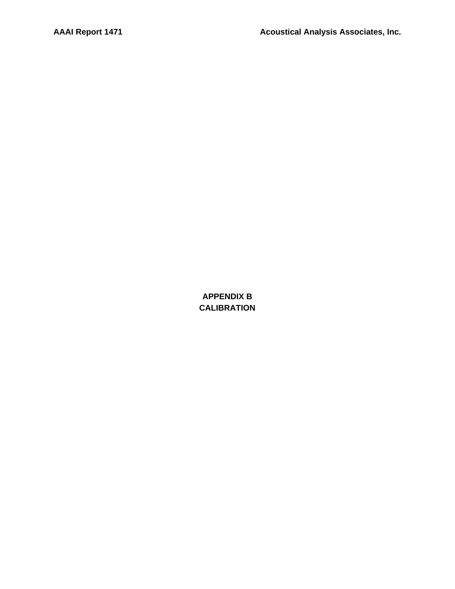**APPENDIX B CALIBRATION**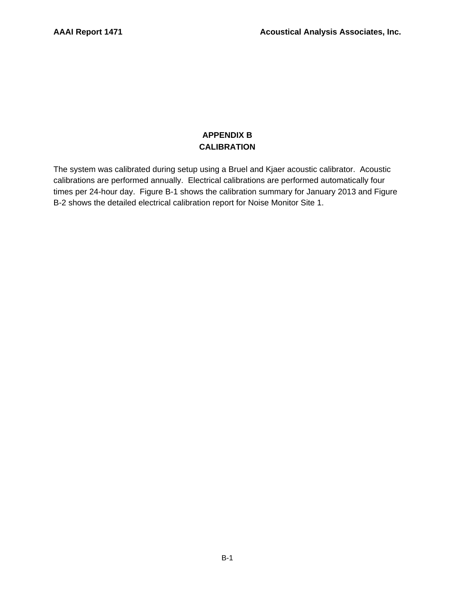## **APPENDIX B CALIBRATION**

The system was calibrated during setup using a Bruel and Kjaer acoustic calibrator. Acoustic calibrations are performed annually. Electrical calibrations are performed automatically four times per 24-hour day. Figure B-1 shows the calibration summary for January 2013 and Figure B-2 shows the detailed electrical calibration report for Noise Monitor Site 1.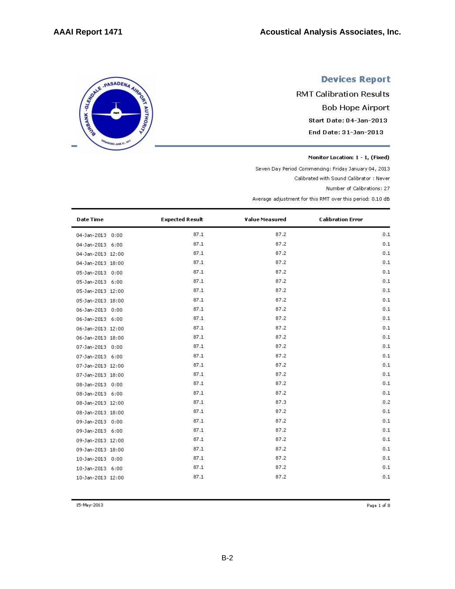SERIE - PASADENA AIRING

**ED JUNE 2** 

# **Devices Report**

**RMT Calibration Results Bob Hope Airport** Start Date: 04-Jan-2013 End Date: 31-Jan-2013

Monitor Location: 1 - 1, (Fixed)

Seven Day Period Commencing: Friday January 04, 2013

Calibrated with Sound Calibrator : Never

Number of Calibrations: 27

Average adjustment for this RMT over this period: 0.10 dB

| <b>Date Time</b>      | <b>Expected Result</b> | <b>Value Measured</b> | <b>Calibration Error</b> |
|-----------------------|------------------------|-----------------------|--------------------------|
| 04-Jan-2013 0:00      | 87.1                   | 87.2                  | 0.1                      |
| 04-Jan-2013 6:00      | 87.1                   | 87.2                  | 0.1                      |
| 04-Jan-2013 12:00     | 87.1                   | 87.2                  | 0.1                      |
| 04-Jan-2013 18:00     | 87.1                   | 87.2                  | 0.1                      |
| 05-Jan-2013 0:00      | 87.1                   | 87.2                  | 0.1                      |
| 05-Jan-2013 6:00      | 87.1                   | 87.2                  | 0.1                      |
| 05-Jan-2013 12:00     | 87.1                   | 87.2                  | 0.1                      |
| 05-Jan-2013 18:00     | 87.1                   | 87.2                  | 0.1                      |
| 06-Jan-2013 0:00      | 87.1                   | 87.2                  | 0.1                      |
| 06-Jan-2013 6:00      | 87.1                   | 87.2                  | 0.1                      |
| 06-Jan-2013 12:00     | 87.1                   | 87.2                  | 0.1                      |
| 06-Jan-2013 18:00     | 87.1                   | 87.2                  | 0.1                      |
| 07-Jan-2013 0:00      | 87.1                   | 87.2                  | 0.1                      |
| 07-Jan-2013 6:00      | 87.1                   | 87.2                  | 0.1                      |
| 07-Jan-2013 12:00     | 87.1                   | 87.2                  | 0.1                      |
| 07-Jan-2013 18:00     | 87.1                   | 87.2                  | 0.1                      |
| 08-Jan-2013 0:00      | 87.1                   | 87.2                  | 0.1                      |
| 08-Jan-2013 6:00      | 87.1                   | 87.2                  | 0.1                      |
| 08-Jan-2013 12:00     | 87.1                   | 87.3                  | 0.2                      |
| 08-Jan-2013 18:00     | 87.1                   | 87.2                  | 0.1                      |
| 09-Jan-2013 0:00      | 87.1                   | 87.2                  | 0.1                      |
| 09-Jan-2013 6:00      | 87.1                   | 87.2                  | 0.1                      |
| 09-Jan-2013 12:00     | 87.1                   | 87.2                  | 0.1                      |
| 09-Jan-2013 18:00     | 87.1                   | 87.2                  | 0.1                      |
| 10-Jan-2013 0:00      | 87.1                   | 87.2                  | 0.1                      |
| 10-Jan-2013 6:00      | 87.1                   | 87.2                  | 0.1                      |
| $10-1an-2013$ $12:00$ | 87.1                   | 87.2                  | 0.1                      |

15-May-2013

Page 1 of 8